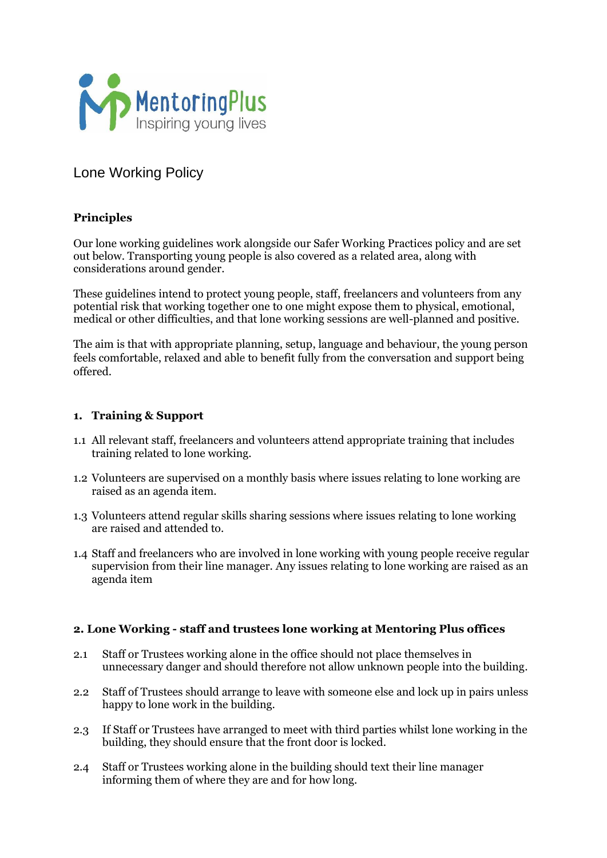

# Lone Working Policy

# **Principles**

Our lone working guidelines work alongside our Safer Working Practices policy and are set out below. Transporting young people is also covered as a related area, along with considerations around gender.

These guidelines intend to protect young people, staff, freelancers and volunteers from any potential risk that working together one to one might expose them to physical, emotional, medical or other difficulties, and that lone working sessions are well-planned and positive.

The aim is that with appropriate planning, setup, language and behaviour, the young person feels comfortable, relaxed and able to benefit fully from the conversation and support being offered.

#### **1. Training & Support**

- 1.1 All relevant staff, freelancers and volunteers attend appropriate training that includes training related to lone working.
- 1.2 Volunteers are supervised on a monthly basis where issues relating to lone working are raised as an agenda item.
- 1.3 Volunteers attend regular skills sharing sessions where issues relating to lone working are raised and attended to.
- 1.4 Staff and freelancers who are involved in lone working with young people receive regular supervision from their line manager. Any issues relating to lone working are raised as an agenda item

#### **2. Lone Working - staff and trustees lone working at Mentoring Plus offices**

- 2.1 Staff or Trustees working alone in the office should not place themselves in unnecessary danger and should therefore not allow unknown people into the building.
- 2.2 Staff of Trustees should arrange to leave with someone else and lock up in pairs unless happy to lone work in the building.
- 2.3 If Staff or Trustees have arranged to meet with third parties whilst lone working in the building, they should ensure that the front door is locked.
- 2.4 Staff or Trustees working alone in the building should text their line manager informing them of where they are and for how long.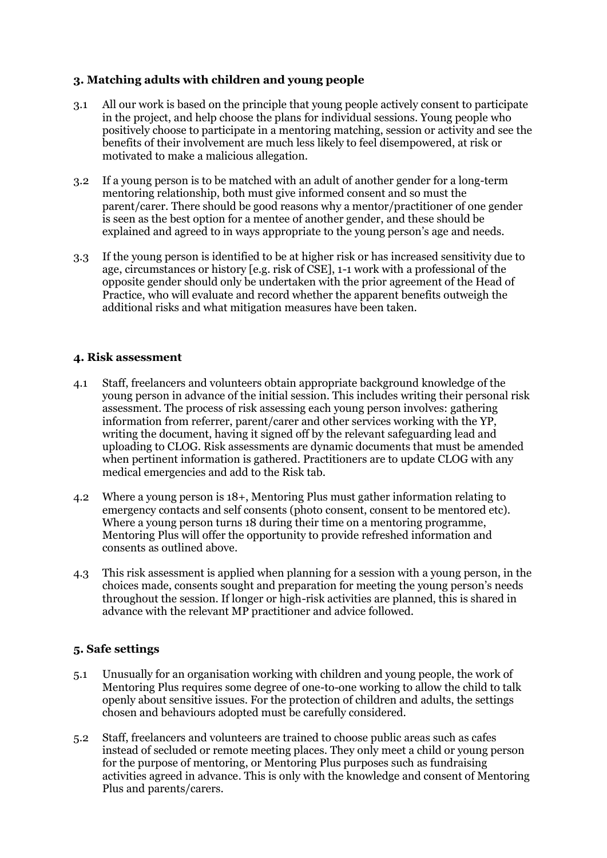## **3. Matching adults with children and young people**

- 3.1 All our work is based on the principle that young people actively consent to participate in the project, and help choose the plans for individual sessions. Young people who positively choose to participate in a mentoring matching, session or activity and see the benefits of their involvement are much less likely to feel disempowered, at risk or motivated to make a malicious allegation.
- 3.2 If a young person is to be matched with an adult of another gender for a long-term mentoring relationship, both must give informed consent and so must the parent/carer. There should be good reasons why a mentor/practitioner of one gender is seen as the best option for a mentee of another gender, and these should be explained and agreed to in ways appropriate to the young person's age and needs.
- 3.3 If the young person is identified to be at higher risk or has increased sensitivity due to age, circumstances or history [e.g. risk of CSE], 1-1 work with a professional of the opposite gender should only be undertaken with the prior agreement of the Head of Practice, who will evaluate and record whether the apparent benefits outweigh the additional risks and what mitigation measures have been taken.

#### **4. Risk assessment**

- 4.1 Staff, freelancers and volunteers obtain appropriate background knowledge of the young person in advance of the initial session. This includes writing their personal risk assessment. The process of risk assessing each young person involves: gathering information from referrer, parent/carer and other services working with the YP, writing the document, having it signed off by the relevant safeguarding lead and uploading to CLOG. Risk assessments are dynamic documents that must be amended when pertinent information is gathered. Practitioners are to update CLOG with any medical emergencies and add to the Risk tab.
- 4.2 Where a young person is 18+, Mentoring Plus must gather information relating to emergency contacts and self consents (photo consent, consent to be mentored etc). Where a young person turns 18 during their time on a mentoring programme, Mentoring Plus will offer the opportunity to provide refreshed information and consents as outlined above.
- 4.3 This risk assessment is applied when planning for a session with a young person, in the choices made, consents sought and preparation for meeting the young person's needs throughout the session. If longer or high-risk activities are planned, this is shared in advance with the relevant MP practitioner and advice followed.

#### **5. Safe settings**

- 5.1 Unusually for an organisation working with children and young people, the work of Mentoring Plus requires some degree of one-to-one working to allow the child to talk openly about sensitive issues. For the protection of children and adults, the settings chosen and behaviours adopted must be carefully considered.
- 5.2 Staff, freelancers and volunteers are trained to choose public areas such as cafes instead of secluded or remote meeting places. They only meet a child or young person for the purpose of mentoring, or Mentoring Plus purposes such as fundraising activities agreed in advance. This is only with the knowledge and consent of Mentoring Plus and parents/carers.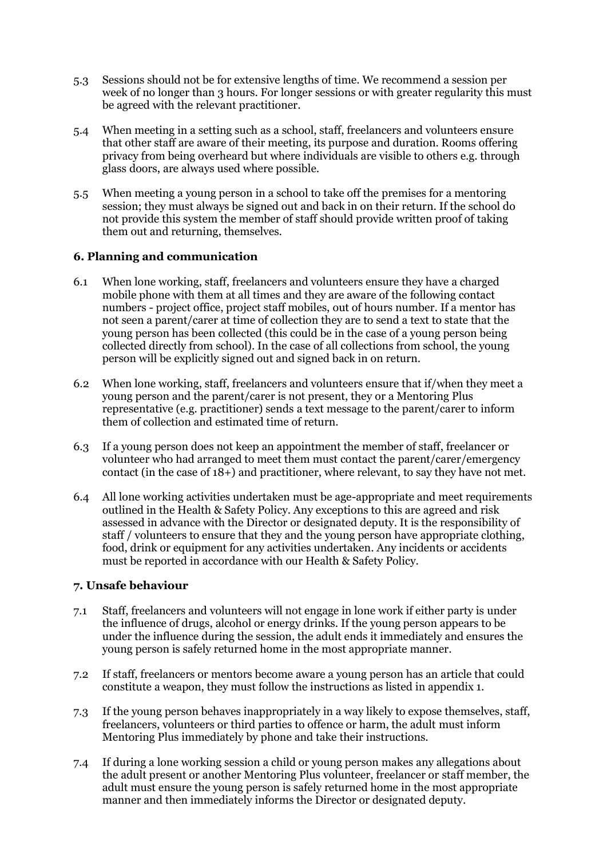- 5.3 Sessions should not be for extensive lengths of time. We recommend a session per week of no longer than 3 hours. For longer sessions or with greater regularity this must be agreed with the relevant practitioner.
- 5.4 When meeting in a setting such as a school, staff, freelancers and volunteers ensure that other staff are aware of their meeting, its purpose and duration. Rooms offering privacy from being overheard but where individuals are visible to others e.g. through glass doors, are always used where possible.
- 5.5 When meeting a young person in a school to take off the premises for a mentoring session; they must always be signed out and back in on their return. If the school do not provide this system the member of staff should provide written proof of taking them out and returning, themselves.

#### **6. Planning and communication**

- 6.1 When lone working, staff, freelancers and volunteers ensure they have a charged mobile phone with them at all times and they are aware of the following contact numbers - project office, project staff mobiles, out of hours number. If a mentor has not seen a parent/carer at time of collection they are to send a text to state that the young person has been collected (this could be in the case of a young person being collected directly from school). In the case of all collections from school, the young person will be explicitly signed out and signed back in on return.
- 6.2 When lone working, staff, freelancers and volunteers ensure that if/when they meet a young person and the parent/carer is not present, they or a Mentoring Plus representative (e.g. practitioner) sends a text message to the parent/carer to inform them of collection and estimated time of return.
- 6.3 If a young person does not keep an appointment the member of staff, freelancer or volunteer who had arranged to meet them must contact the parent/carer/emergency contact (in the case of 18+) and practitioner, where relevant, to say they have not met.
- 6.4 All lone working activities undertaken must be age-appropriate and meet requirements outlined in the Health & Safety Policy. Any exceptions to this are agreed and risk assessed in advance with the Director or designated deputy. It is the responsibility of staff / volunteers to ensure that they and the young person have appropriate clothing, food, drink or equipment for any activities undertaken. Any incidents or accidents must be reported in accordance with our Health & Safety Policy.

#### **7. Unsafe behaviour**

- 7.1 Staff, freelancers and volunteers will not engage in lone work if either party is under the influence of drugs, alcohol or energy drinks. If the young person appears to be under the influence during the session, the adult ends it immediately and ensures the young person is safely returned home in the most appropriate manner.
- 7.2 If staff, freelancers or mentors become aware a young person has an article that could constitute a weapon, they must follow the instructions as listed in appendix 1.
- 7.3 If the young person behaves inappropriately in a way likely to expose themselves, staff, freelancers, volunteers or third parties to offence or harm, the adult must inform Mentoring Plus immediately by phone and take their instructions.
- 7.4 If during a lone working session a child or young person makes any allegations about the adult present or another Mentoring Plus volunteer, freelancer or staff member, the adult must ensure the young person is safely returned home in the most appropriate manner and then immediately informs the Director or designated deputy.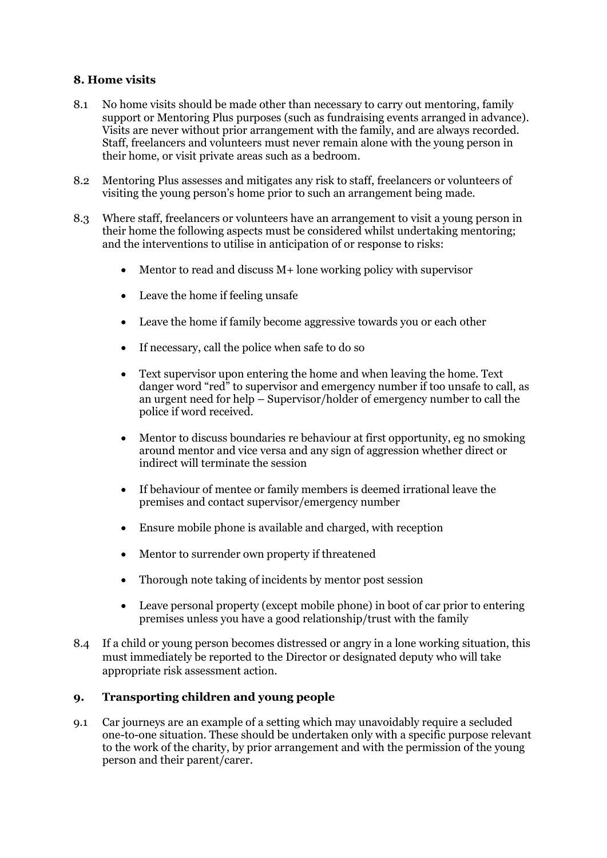## **8. Home visits**

- 8.1 No home visits should be made other than necessary to carry out mentoring, family support or Mentoring Plus purposes (such as fundraising events arranged in advance). Visits are never without prior arrangement with the family, and are always recorded. Staff, freelancers and volunteers must never remain alone with the young person in their home, or visit private areas such as a bedroom.
- 8.2 Mentoring Plus assesses and mitigates any risk to staff, freelancers or volunteers of visiting the young person's home prior to such an arrangement being made.
- 8.3 Where staff, freelancers or volunteers have an arrangement to visit a young person in their home the following aspects must be considered whilst undertaking mentoring; and the interventions to utilise in anticipation of or response to risks:
	- Mentor to read and discuss  $M+$  lone working policy with supervisor
	- Leave the home if feeling unsafe
	- Leave the home if family become aggressive towards you or each other
	- If necessary, call the police when safe to do so
	- Text supervisor upon entering the home and when leaving the home. Text danger word "red" to supervisor and emergency number if too unsafe to call, as an urgent need for help – Supervisor/holder of emergency number to call the police if word received.
	- Mentor to discuss boundaries re behaviour at first opportunity, eg no smoking around mentor and vice versa and any sign of aggression whether direct or indirect will terminate the session
	- If behaviour of mentee or family members is deemed irrational leave the premises and contact supervisor/emergency number
	- Ensure mobile phone is available and charged, with reception
	- Mentor to surrender own property if threatened
	- Thorough note taking of incidents by mentor post session
	- Leave personal property (except mobile phone) in boot of car prior to entering premises unless you have a good relationship/trust with the family
- 8.4 If a child or young person becomes distressed or angry in a lone working situation, this must immediately be reported to the Director or designated deputy who will take appropriate risk assessment action.

## **9. Transporting children and young people**

9.1 Car journeys are an example of a setting which may unavoidably require a secluded one-to-one situation. These should be undertaken only with a specific purpose relevant to the work of the charity, by prior arrangement and with the permission of the young person and their parent/carer.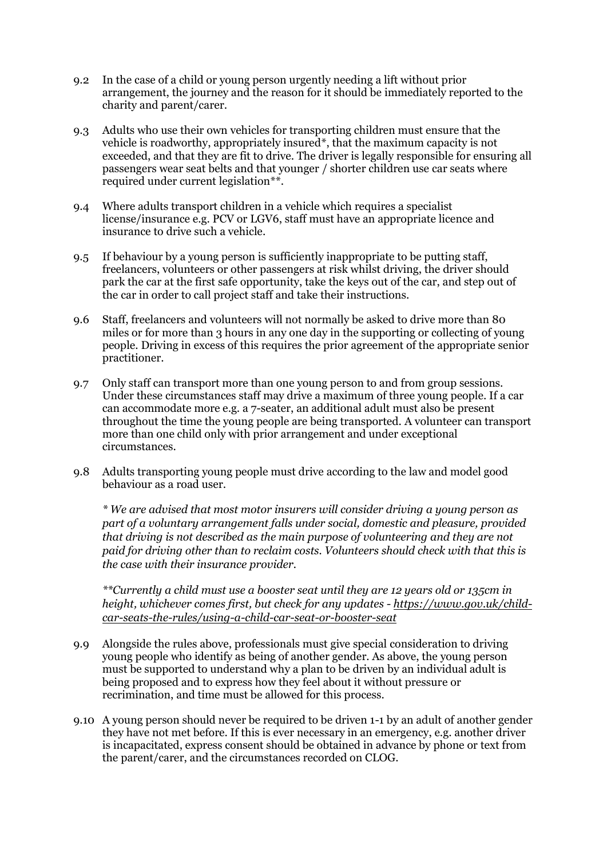- 9.2 In the case of a child or young person urgently needing a lift without prior arrangement, the journey and the reason for it should be immediately reported to the charity and parent/carer.
- 9.3 Adults who use their own vehicles for transporting children must ensure that the vehicle is roadworthy, appropriately insured\*, that the maximum capacity is not exceeded, and that they are fit to drive. The driver is legally responsible for ensuring all passengers wear seat belts and that younger / shorter children use car seats where required under current legislation\*\*.
- 9.4 Where adults transport children in a vehicle which requires a specialist license/insurance e.g. PCV or LGV6, staff must have an appropriate licence and insurance to drive such a vehicle.
- 9.5 If behaviour by a young person is sufficiently inappropriate to be putting staff, freelancers, volunteers or other passengers at risk whilst driving, the driver should park the car at the first safe opportunity, take the keys out of the car, and step out of the car in order to call project staff and take their instructions.
- 9.6 Staff, freelancers and volunteers will not normally be asked to drive more than 80 miles or for more than 3 hours in any one day in the supporting or collecting of young people. Driving in excess of this requires the prior agreement of the appropriate senior practitioner.
- 9.7 Only staff can transport more than one young person to and from group sessions. Under these circumstances staff may drive a maximum of three young people. If a car can accommodate more e.g. a 7-seater, an additional adult must also be present throughout the time the young people are being transported. A volunteer can transport more than one child only with prior arrangement and under exceptional circumstances.
- 9.8 Adults transporting young people must drive according to the law and model good behaviour as a road user.

*\* We are advised that most motor insurers will consider driving a young person as part of a voluntary arrangement falls under social, domestic and pleasure, provided that driving is not described as the main purpose of volunteering and they are not paid for driving other than to reclaim costs. Volunteers should check with that this is the case with their insurance provider.*

*\*\*Currently a child must use a booster seat until they are 12 years old or 135cm in height, whichever comes first, but check for any updates - [https://www.gov.uk/child](https://www.gov.uk/child-car-seats-the-rules/using-a-child-car-seat-or-booster-seat)[car-seats-the-rules/using-a-child-car-seat-or-booster-seat](https://www.gov.uk/child-car-seats-the-rules/using-a-child-car-seat-or-booster-seat)*

- 9.9 Alongside the rules above, professionals must give special consideration to driving young people who identify as being of another gender. As above, the young person must be supported to understand why a plan to be driven by an individual adult is being proposed and to express how they feel about it without pressure or recrimination, and time must be allowed for this process.
- 9.10 A young person should never be required to be driven 1-1 by an adult of another gender they have not met before. If this is ever necessary in an emergency, e.g. another driver is incapacitated, express consent should be obtained in advance by phone or text from the parent/carer, and the circumstances recorded on CLOG.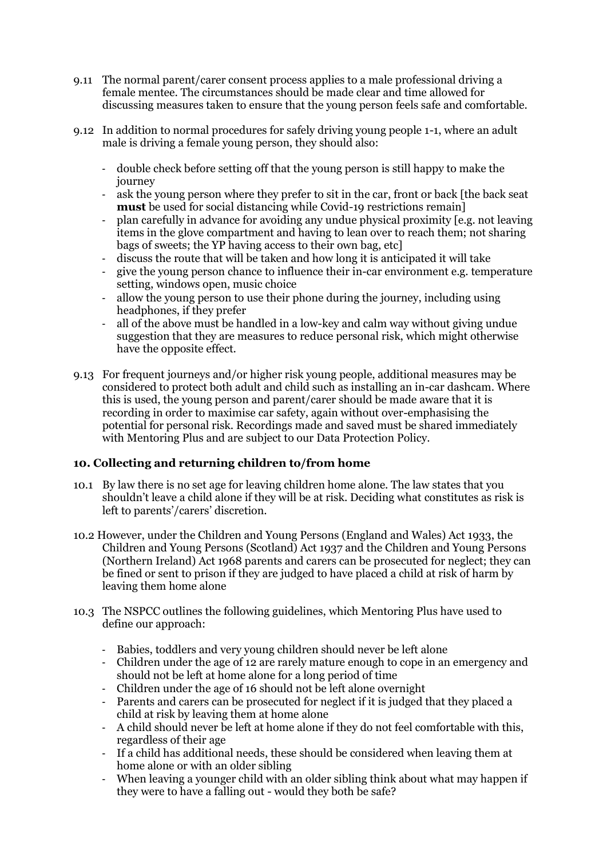- 9.11 The normal parent/carer consent process applies to a male professional driving a female mentee. The circumstances should be made clear and time allowed for discussing measures taken to ensure that the young person feels safe and comfortable.
- 9.12 In addition to normal procedures for safely driving young people 1-1, where an adult male is driving a female young person, they should also:
	- double check before setting off that the young person is still happy to make the journey
	- ask the young person where they prefer to sit in the car, front or back [the back seat **must** be used for social distancing while Covid-19 restrictions remain]
	- plan carefully in advance for avoiding any undue physical proximity [e.g. not leaving items in the glove compartment and having to lean over to reach them; not sharing bags of sweets; the YP having access to their own bag, etc]
	- discuss the route that will be taken and how long it is anticipated it will take
	- give the young person chance to influence their in-car environment e.g. temperature setting, windows open, music choice
	- allow the young person to use their phone during the journey, including using headphones, if they prefer
	- all of the above must be handled in a low-key and calm way without giving undue suggestion that they are measures to reduce personal risk, which might otherwise have the opposite effect.
- 9.13 For frequent journeys and/or higher risk young people, additional measures may be considered to protect both adult and child such as installing an in-car dashcam. Where this is used, the young person and parent/carer should be made aware that it is recording in order to maximise car safety, again without over-emphasising the potential for personal risk. Recordings made and saved must be shared immediately with Mentoring Plus and are subject to our Data Protection Policy.

## **10. Collecting and returning children to/from home**

- 10.1 By law there is no set age for leaving children home alone. The law states that you shouldn't leave a child alone if they will be at risk. Deciding what constitutes as risk is left to parents'/carers' discretion.
- 10.2 However, under the Children and Young Persons (England and Wales) Act 1933, the Children and Young Persons (Scotland) Act 1937 and the Children and Young Persons (Northern Ireland) Act 1968 parents and carers can be prosecuted for neglect; they can be fined or sent to prison if they are judged to have placed a child at risk of harm by leaving them home alone
- 10.3 The NSPCC outlines the following guidelines, which Mentoring Plus have used to define our approach:
	- Babies, toddlers and very young children should never be left alone
	- Children under the age of 12 are rarely mature enough to cope in an emergency and should not be left at home alone for a long period of time
	- Children under the age of 16 should not be left alone overnight
	- Parents and carers can be prosecuted for neglect if it is judged that they placed a child at risk by leaving them at home alone
	- A child should never be left at home alone if they do not feel comfortable with this, regardless of their age
	- If a child has additional needs, these should be considered when leaving them at home alone or with an older sibling
	- When leaving a younger child with an older sibling think about what may happen if they were to have a falling out - would they both be safe?